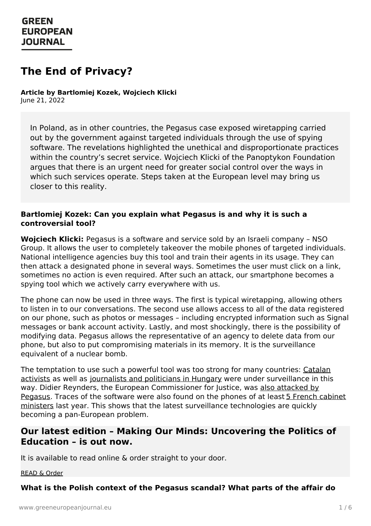# **The End of Privacy?**

**Article by Bartlomiej Kozek, Wojciech Klicki** June 21, 2022

In Poland, as in other countries, the Pegasus case exposed wiretapping carried out by the government against targeted individuals through the use of spying software. The revelations highlighted the unethical and disproportionate practices within the country's secret service. Wojciech Klicki of the Panoptykon Foundation argues that there is an urgent need for greater social control over the ways in which such services operate. Steps taken at the European level may bring us closer to this reality.

#### **Bartlomiej Kozek: Can you explain what Pegasus is and why it is such a controversial tool?**

**Wojciech Klicki:** Pegasus is a software and service sold by an Israeli company – NSO Group. It allows the user to completely takeover the mobile phones of targeted individuals. National intelligence agencies buy this tool and train their agents in its usage. They can then attack a designated phone in several ways. Sometimes the user must click on a link, sometimes no action is even required. After such an attack, our smartphone becomes a spying tool which we actively carry everywhere with us.

The phone can now be used in three ways. The first is typical wiretapping, allowing others to listen in to our conversations. The second use allows access to all of the data registered on our phone, such as photos or messages – including encrypted information such as Signal messages or bank account activity. Lastly, and most shockingly, there is the possibility of modifying data. Pegasus allows the representative of an agency to delete data from our phone, but also to put compromising materials in its memory. It is the surveillance equivalent of a nuclear bomb.

The temptation to use such a powerful tool was too strong for many countries: Catalan activists as well as [journalists](https://www.theguardian.com/world/2022/jan/28/hungarian-journalists-targeted-with-pegasus-spyware-to-sue-state) and politicians in Hungary were under [surveillance](https://www.politico.eu/article/pegasus-spyware-targets-top-catalan-politicians-and-activists/) in this way. Didier Reynders, the European [Commissioner](https://www.reuters.com/technology/exclusive-senior-eu-officials-were-targeted-with-israeli-spyware-sources-2022-04-11/) for Justice, was also attacked by Pegasus. Traces of the software were also found on the phones of at least 5 French cabinet ministers last year. This shows that the latest surveillance [technologies](http://theguardian.com/news/2021/sep/23/spyware-found-on-phones-of-five-french-cabinet-members) are quickly becoming a pan-European problem.

### **Our latest edition – Making Our Minds: Uncovering the Politics of [Education](https://www.greeneuropeanjournal.eu) – is out now.**

It is available to read online & order straight to your door.

#### [READ](https://www.greeneuropeanjournal.eu/edition/making-our-minds-uncovering-the-politics-of-education/) & Order

#### **What is the Polish context of the Pegasus scandal? What parts of the affair do**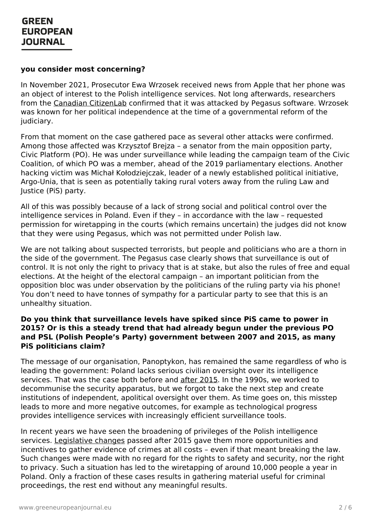#### **you consider most concerning?**

In November 2021, Prosecutor Ewa Wrzosek received news from Apple that her phone was an object of interest to the Polish intelligence services. Not long afterwards, researchers from the Canadian [CitizenLab](https://www.theguardian.com/world/2021/dec/28/poland-pegasus-spyware-donald-tusk) confirmed that it was attacked by Pegasus software. Wrzosek was known for her political independence at the time of a governmental reform of the judiciary.

From that moment on the case gathered pace as several other attacks were confirmed. Among those affected was Krzysztof Brejza – a senator from the main opposition party, Civic Platform (PO). He was under surveillance while leading the campaign team of the Civic Coalition, of which PO was a member, ahead of the 2019 parliamentary elections. Another hacking victim was Michał Kołodziejczak, leader of a newly established political initiative, Argo-Unia, that is seen as potentially taking rural voters away from the ruling Law and Justice (PiS) party.

All of this was possibly because of a lack of strong social and political control over the intelligence services in Poland. Even if they – in accordance with the law – requested permission for wiretapping in the courts (which remains uncertain) the judges did not know that they were using Pegasus, which was not permitted under Polish law.

We are not talking about suspected terrorists, but people and politicians who are a thorn in the side of the government. The Pegasus case clearly shows that surveillance is out of control. It is not only the right to privacy that is at stake, but also the rules of free and equal elections. At the height of the electoral campaign – an important politician from the opposition bloc was under observation by the politicians of the ruling party via his phone! You don't need to have tonnes of sympathy for a particular party to see that this is an unhealthy situation.

#### **Do you think that surveillance levels have spiked since PiS came to power in 2015? Or is this a steady trend that had already begun under the previous PO and PSL (Polish People's Party) government between 2007 and 2015, as many PiS politicians claim?**

The message of our organisation, Panoptykon, has remained the same regardless of who is leading the government: Poland lacks serious civilian oversight over its intelligence services. That was the case both before and after [2015.](https://www.greeneuropeanjournal.eu/poland-a-vicious-cycle-of-disdain/) In the 1990s, we worked to decommunise the security apparatus, but we forgot to take the next step and create institutions of independent, apolitical oversight over them. As time goes on, this misstep leads to more and more negative outcomes, for example as technological progress provides intelligence services with increasingly efficient surveillance tools.

In recent years we have seen the broadening of privileges of the Polish intelligence services. [Legislative](https://www.greeneuropeanjournal.eu/constitutional-crisis-in-poland/) changes passed after 2015 gave them more opportunities and incentives to gather evidence of crimes at all costs – even if that meant breaking the law. Such changes were made with no regard for the rights to safety and security, nor the right to privacy. Such a situation has led to the wiretapping of around 10,000 people a year in Poland. Only a fraction of these cases results in gathering material useful for criminal proceedings, the rest end without any meaningful results.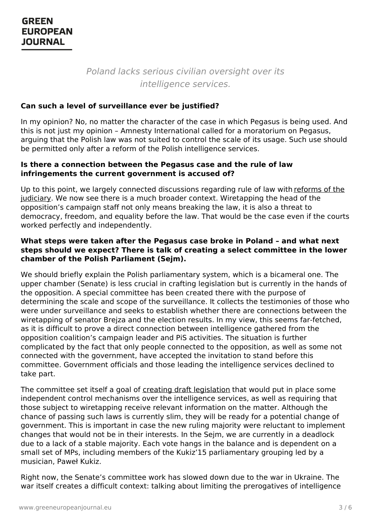Poland lacks serious civilian oversight over its intelligence services.

#### **Can such a level of surveillance ever be justified?**

In my opinion? No, no matter the character of the case in which Pegasus is being used. And this is not just my opinion – Amnesty International called for a moratorium on Pegasus, arguing that the Polish law was not suited to control the scale of its usage. Such use should be permitted only after a reform of the Polish intelligence services.

#### **Is there a connection between the Pegasus case and the rule of law infringements the current government is accused of?**

Up to this point, we largely connected discussions regarding rule of law with reforms of the judiciary. We now see there is a much broader context. [Wiretapping](https://www.politico.eu/article/poland-rule-of-law-judicial-system-eu-pis-jaroslaw-kaczynski/) the head of the opposition's campaign staff not only means breaking the law, it is also a threat to democracy, freedom, and equality before the law. That would be the case even if the courts worked perfectly and independently.

#### **What steps were taken after the Pegasus case broke in Poland – and what next steps should we expect? There is talk of creating a select committee in the lower chamber of the Polish Parliament (Sejm).**

We should briefly explain the Polish parliamentary system, which is a bicameral one. The upper chamber (Senate) is less crucial in crafting legislation but is currently in the hands of the opposition. A special committee has been created there with the purpose of determining the scale and scope of the surveillance. It collects the testimonies of those who were under surveillance and seeks to establish whether there are connections between the wiretapping of senator Brejza and the election results. In my view, this seems far-fetched, as it is difficult to prove a direct connection between intelligence gathered from the opposition coalition's campaign leader and PiS activities. The situation is further complicated by the fact that only people connected to the opposition, as well as some not connected with the government, have accepted the invitation to stand before this committee. Government officials and those leading the intelligence services declined to take part.

The committee set itself a goal of creating draft [legislation](https://www.theguardian.com/world/2022/jan/24/polish-senators-draft-law-to-regulate-spyware-after-anti-pegasus-testimony) that would put in place some independent control mechanisms over the intelligence services, as well as requiring that those subject to wiretapping receive relevant information on the matter. Although the chance of passing such laws is currently slim, they will be ready for a potential change of government. This is important in case the new ruling majority were reluctant to implement changes that would not be in their interests. In the Sejm, we are currently in a deadlock due to a lack of a [stable](https://www.greeneuropeanjournal.eu) majority. Each vote hangs in the balance and is dependent on a small set of MPs, including members of the Kukiz'15 parliamentary grouping led by a musician, Paweł Kukiz.

Right now, the Senate's committee work has slowed down due to the war in Ukraine. The war itself creates a difficult context: talking about limiting the prerogatives of intelligence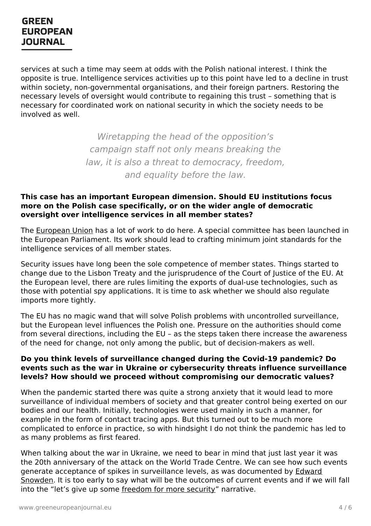services at such a time may seem at odds with the Polish national interest. I think the opposite is true. Intelligence services activities up to this point have led to a decline in trust within society, non-governmental organisations, and their foreign partners. Restoring the necessary levels of oversight would contribute to regaining this trust – something that is necessary for coordinated work on national security in which the society needs to be involved as well.

> Wiretapping the head of the opposition's campaign staff not only means breaking the law, it is also a threat to democracy, freedom, and equality before the law.

#### **This case has an important European dimension. Should EU institutions focus more on the Polish case specifically, or on the wider angle of democratic oversight over intelligence services in all member states?**

The [European](https://www.greeneuropeanjournal.eu/why-the-eu-needs-to-rethink-its-approach-to-technology/) Union has a lot of work to do here. A special committee has been launched in the European Parliament. Its work should lead to crafting minimum joint standards for the intelligence services of all member states.

Security issues have long been the sole competence of member states. Things started to change due to the Lisbon Treaty and the jurisprudence of the Court of Justice of the EU. At the European level, there are rules limiting the exports of dual-use technologies, such as those with potential spy applications. It is time to ask whether we should also regulate imports more tightly.

The EU has no magic wand that will solve Polish problems with uncontrolled surveillance, but the European level influences the Polish one. Pressure on the authorities should come from several directions, including the EU – as the steps taken there increase the awareness of the need for change, not only among the public, but of decision-makers as well.

#### **Do you think levels of surveillance changed during the Covid-19 pandemic? Do events such as the war in Ukraine or cybersecurity threats influence surveillance levels? How should we proceed without compromising our democratic values?**

When the pandemic started there was quite a strong anxiety that it would lead to more surveillance of individual members of society and that greater control being exerted on our bodies and our health. Initially, technologies were used mainly in such a manner, for example in the form of contact tracing apps. But this turned out to be much more complicated to enforce in practice, so with hindsight I do not think the pandemic has led to as many [problems](https://www.greeneuropeanjournal.eu) as first feared.

When talking about the war in Ukraine, we need to bear in mind that just last year it was the 20th anniversary of the attack on the World Trade Centre. We can see how such events generate acceptance of spikes in surveillance levels, as was [documented](https://www.greeneuropeanjournal.eu/after-snowden-can-technology-save-our-digital-liberties/) by Edward Snowden. It is too early to say what will be the outcomes of current events and if we will fall into the "let's give up some [freedom](https://www.greeneuropeanjournal.eu/the-age-of-security-populists/) for more security" narrative.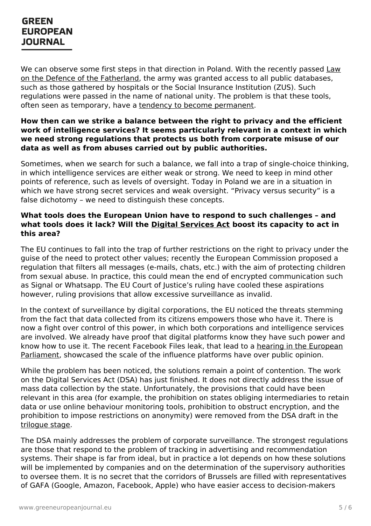We can observe some first steps in that direction in Poland. With the recently passed Law on the Defence of the [Fatherland,](https://www.devdiscourse.com/article/law-order/1947282-poland-to-ramp-up-defence-spending-army-as-ukraine-war-rages#:~:text=The%20%2527Defence%20of%20the%20Fatherland%20Act%2527%252C%20a%20bill,to%20300%252C000%20as%20part%20of%20a%20five-year%20plan.) the army was granted access to all public databases, such as those gathered by hospitals or the Social Insurance Institution (ZUS). Such regulations were passed in the name of national unity. The problem is that these tools, often seen as temporary, have a tendency to become [permanent](https://www.greeneuropeanjournal.eu/the-mask-slips-rights-under-attack-in-poland/).

#### **How then can we strike a balance between the right to privacy and the efficient work of intelligence services? It seems particularly relevant in a context in which we need strong regulations that protects us both from corporate misuse of our data as well as from abuses carried out by public authorities.**

Sometimes, when we search for such a balance, we fall into a trap of single-choice thinking, in which intelligence services are either weak or strong. We need to keep in mind other points of reference, such as levels of oversight. Today in Poland we are in a situation in which we have strong secret services and weak oversight. "Privacy versus security" is a false dichotomy – we need to distinguish these concepts.

#### **What tools does the European Union have to respond to such challenges – and what tools does it lack? Will the Digital [Services](https://www.greeneuropeanjournal.eu/taking-back-control-from-big-tech-the-eus-digital-package/) Act boost its capacity to act in this area?**

The EU continues to fall into the trap of further restrictions on the right to privacy under the guise of the need to protect other values; recently the European Commission proposed a regulation that filters all messages (e-mails, chats, etc.) with the aim of protecting children from sexual abuse. In practice, this could mean the end of encrypted communication such as Signal or Whatsapp. The EU Court of Justice's ruling have cooled these aspirations however, ruling provisions that allow excessive surveillance as invalid.

In the context of surveillance by digital corporations, the EU noticed the threats stemming from the fact that data collected from its citizens empowers those who have it. There is now a fight over control of this power, in which both corporations and intelligence services are involved. We already have proof that digital platforms know they have such power and know how to use it. The recent Facebook Files leak, that lead to a hearing in the European [Parliament,](https://www.europarl.europa.eu/news/en/headlines/society/20211028STO16120/facebook-whistleblower-testifies-in-european-parliament) showcased the scale of the influence platforms have over public opinion.

While the problem has been noticed, the solutions remain a point of contention. The work on the Digital Services Act (DSA) has just finished. It does not directly address the issue of mass data collection by the state. Unfortunately, the provisions that could have been relevant in this area (for example, the prohibition on states obliging intermediaries to retain data or use online behaviour monitoring tools, prohibition to obstruct encryption, and the prohibition to impose restrictions on anonymity) were removed from the DSA draft in the [trilogue](https://www.greens-efa.eu/en/article/press/digital-services-act-final-trilogue) stage.

The DSA mainly [addresse](https://www.greeneuropeanjournal.eu)s the problem of corporate surveillance. The strongest regulations are those that respond to the problem of tracking in advertising and recommendation systems. Their shape is far from ideal, but in practice a lot depends on how these solutions will be implemented by companies and on the determination of the supervisory authorities to oversee them. It is no secret that the corridors of Brussels are filled with representatives of GAFA (Google, Amazon, Facebook, Apple) who have easier access to decision-makers